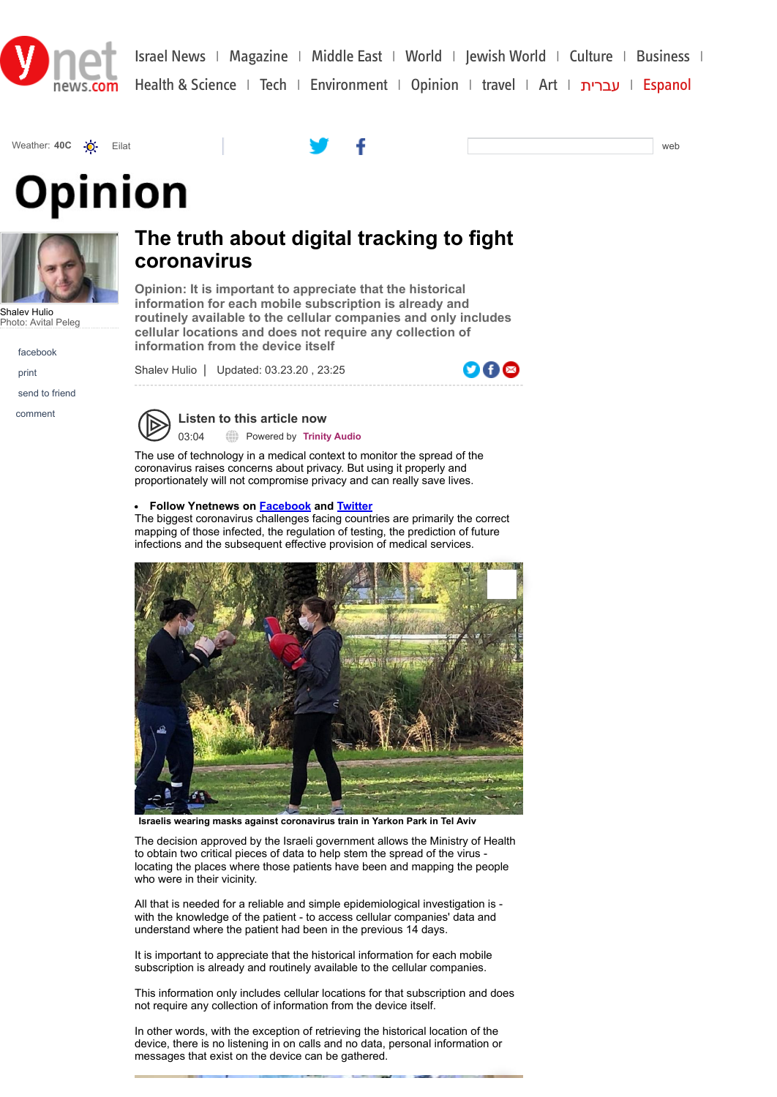







Shalev Hulio Photo: Avital Peleg

facebook

print

send to friend

comment

## **The truth about digital tracking to fight coronavirus**

**Opinion: It is important to appreciate that the historical information for each mobile subscription is already and routinely available to the cellular companies and only includes cellular locations and does not require any collection of information from the device itself**

Shalev Hulio | Updated: 03.23.20 , 23:25



**Listen to this article now** 03:04 Powered by **[Trinity Audio](https://trinityaudio.ai/?utm_source=https%3A%2F%2Fwww.ynetnews.com&utm_medium=player%2520lin)**

The use of technology in a medical context to monitor the spread of the coronavirus raises concerns about privacy. But using it properly and proportionately will not compromise privacy and can really save lives.

## **Follow Ynetnews on [Facebook](https://www.facebook.com/ynetenglish/) and [Twitter](https://twitter.com/ynetnews)**

The biggest coronavirus challenges facing countries are primarily the correct mapping of those infected, the regulation of testing, the prediction of future infections and the subsequent effective provision of medical services.



**Israelis wearing masks against coronavirus train in Yarkon Park in Tel Aviv**

The decision approved by the Israeli government allows the Ministry of Health to obtain two critical pieces of data to help stem the spread of the virus locating the places where those patients have been and mapping the people who were in their vicinity.

All that is needed for a reliable and simple epidemiological investigation is with the knowledge of the patient - to access cellular companies' data and understand where the patient had been in the previous 14 days.

It is important to appreciate that the historical information for each mobile subscription is already and routinely available to the cellular companies.

This information only includes cellular locations for that subscription and does not require any collection of information from the device itself.

In other words, with the exception of retrieving the historical location of the device, there is no listening in on calls and no data, personal information or messages that exist on the device can be gathered.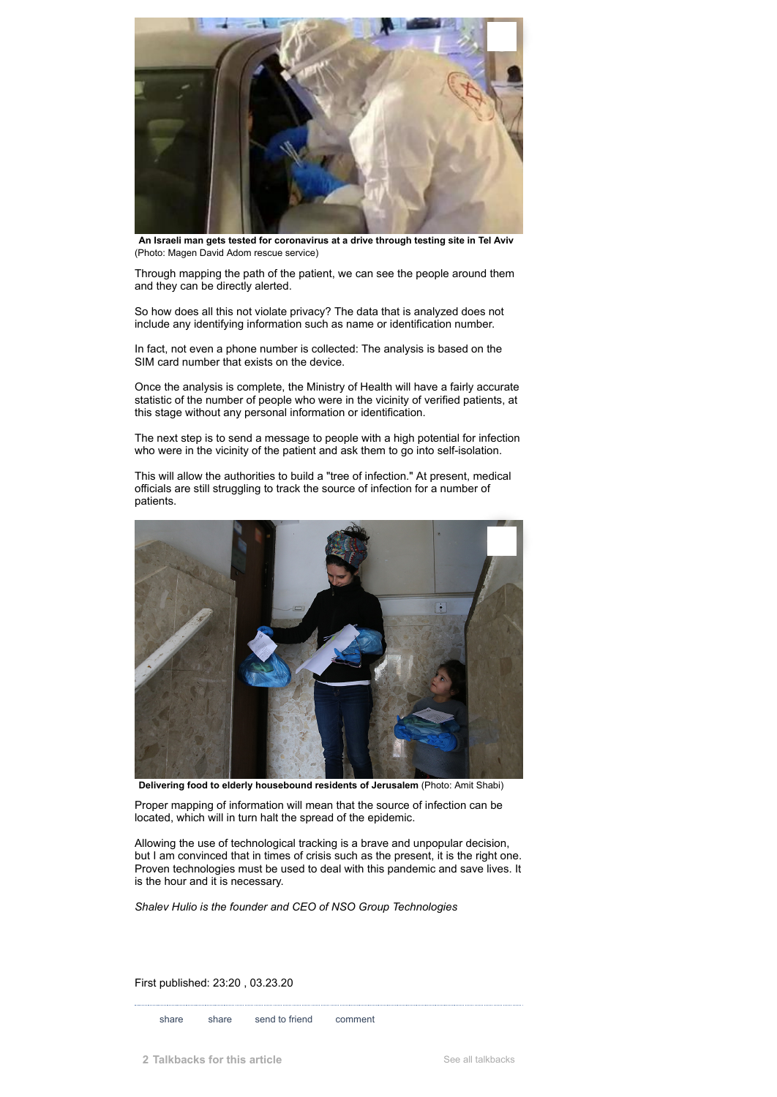

**An Israeli man gets tested for coronavirus at a drive through testing site in Tel Aviv** (Photo: Magen David Adom rescue service)

Through mapping the path of the patient, we can see the people around them and they can be directly alerted.

So how does all this not violate privacy? The data that is analyzed does not include any identifying information such as name or identification number.

In fact, not even a phone number is collected: The analysis is based on the SIM card number that exists on the device.

Once the analysis is complete, the Ministry of Health will have a fairly accurate statistic of the number of people who were in the vicinity of verified patients, at this stage without any personal information or identification.

The next step is to send a message to people with a high potential for infection who were in the vicinity of the patient and ask them to go into self-isolation.

This will allow the authorities to build a "tree of infection." At present, medical officials are still struggling to track the source of infection for a number of patients.



**Delivering food to elderly housebound residents of Jerusalem** (Photo: Amit Shabi)

Proper mapping of information will mean that the source of infection can be located, which will in turn halt the spread of the epidemic.

Allowing the use of technological tracking is a brave and unpopular decision, but I am convinced that in times of crisis such as the present, it is the right one. Proven technologies must be used to deal with this pandemic and save lives. It is the hour and it is necessary.

*Shalev Hulio is the founder and CEO of NSO Group Technologies*

First published: 23:20 , 03.23.20

share share send to friend comment